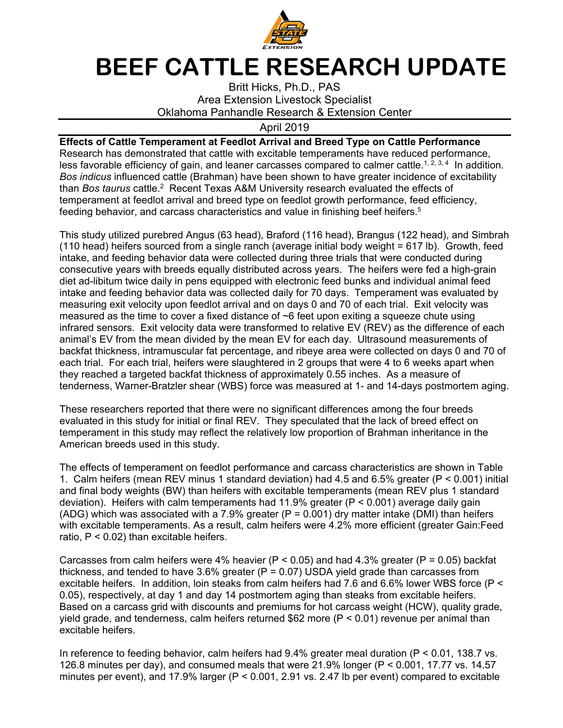

## **BEEF CATTLE RESEARCH UPDATE**

Britt Hicks, Ph.D., PAS Area Extension Livestock Specialist Oklahoma Panhandle Research & Extension Center

## April 2019

## **Effects of Cattle Temperament at Feedlot Arrival and Breed Type on Cattle Performance**

Research has demonstrated that cattle with excitable temperaments have reduced performance, less favorable efficiency of gain, and leaner carcasses compared to calmer cattle.<sup>1, 2, 3, 4</sup> In addition. *Bos indicus* influenced cattle (Brahman) have been shown to have greater incidence of excitability than *Bos taurus* cattle.2 Recent Texas A&M University research evaluated the effects of temperament at feedlot arrival and breed type on feedlot growth performance, feed efficiency, feeding behavior, and carcass characteristics and value in finishing beef heifers.5

This study utilized purebred Angus (63 head), Braford (116 head), Brangus (122 head), and Simbrah (110 head) heifers sourced from a single ranch (average initial body weight = 617 lb). Growth, feed intake, and feeding behavior data were collected during three trials that were conducted during consecutive years with breeds equally distributed across years. The heifers were fed a high-grain diet ad-libitum twice daily in pens equipped with electronic feed bunks and individual animal feed intake and feeding behavior data was collected daily for 70 days. Temperament was evaluated by measuring exit velocity upon feedlot arrival and on days 0 and 70 of each trial. Exit velocity was measured as the time to cover a fixed distance of  $\sim$ 6 feet upon exiting a squeeze chute using infrared sensors. Exit velocity data were transformed to relative EV (REV) as the difference of each animal's EV from the mean divided by the mean EV for each day. Ultrasound measurements of backfat thickness, intramuscular fat percentage, and ribeye area were collected on days 0 and 70 of each trial. For each trial, heifers were slaughtered in 2 groups that were 4 to 6 weeks apart when they reached a targeted backfat thickness of approximately 0.55 inches. As a measure of tenderness, Warner-Bratzler shear (WBS) force was measured at 1- and 14-days postmortem aging.

These researchers reported that there were no significant differences among the four breeds evaluated in this study for initial or final REV. They speculated that the lack of breed effect on temperament in this study may reflect the relatively low proportion of Brahman inheritance in the American breeds used in this study.

The effects of temperament on feedlot performance and carcass characteristics are shown in Table 1. Calm heifers (mean REV minus 1 standard deviation) had 4.5 and 6.5% greater (P < 0.001) initial and final body weights (BW) than heifers with excitable temperaments (mean REV plus 1 standard deviation). Heifers with calm temperaments had 11.9% greater (P < 0.001) average daily gain (ADG) which was associated with a 7.9% greater ( $P = 0.001$ ) dry matter intake (DMI) than heifers with excitable temperaments. As a result, calm heifers were 4.2% more efficient (greater Gain:Feed ratio,  $P < 0.02$ ) than excitable heifers.

Carcasses from calm heifers were 4% heavier ( $P < 0.05$ ) and had 4.3% greater ( $P = 0.05$ ) backfat thickness, and tended to have 3.6% greater ( $P = 0.07$ ) USDA yield grade than carcasses from excitable heifers. In addition, loin steaks from calm heifers had 7.6 and 6.6% lower WBS force (P < 0.05), respectively, at day 1 and day 14 postmortem aging than steaks from excitable heifers. Based on a carcass grid with discounts and premiums for hot carcass weight (HCW), quality grade, yield grade, and tenderness, calm heifers returned \$62 more ( $P < 0.01$ ) revenue per animal than excitable heifers.

In reference to feeding behavior, calm heifers had 9.4% greater meal duration (P < 0.01, 138.7 vs. 126.8 minutes per day), and consumed meals that were 21.9% longer (P < 0.001, 17.77 vs. 14.57 minutes per event), and 17.9% larger (P < 0.001, 2.91 vs. 2.47 lb per event) compared to excitable